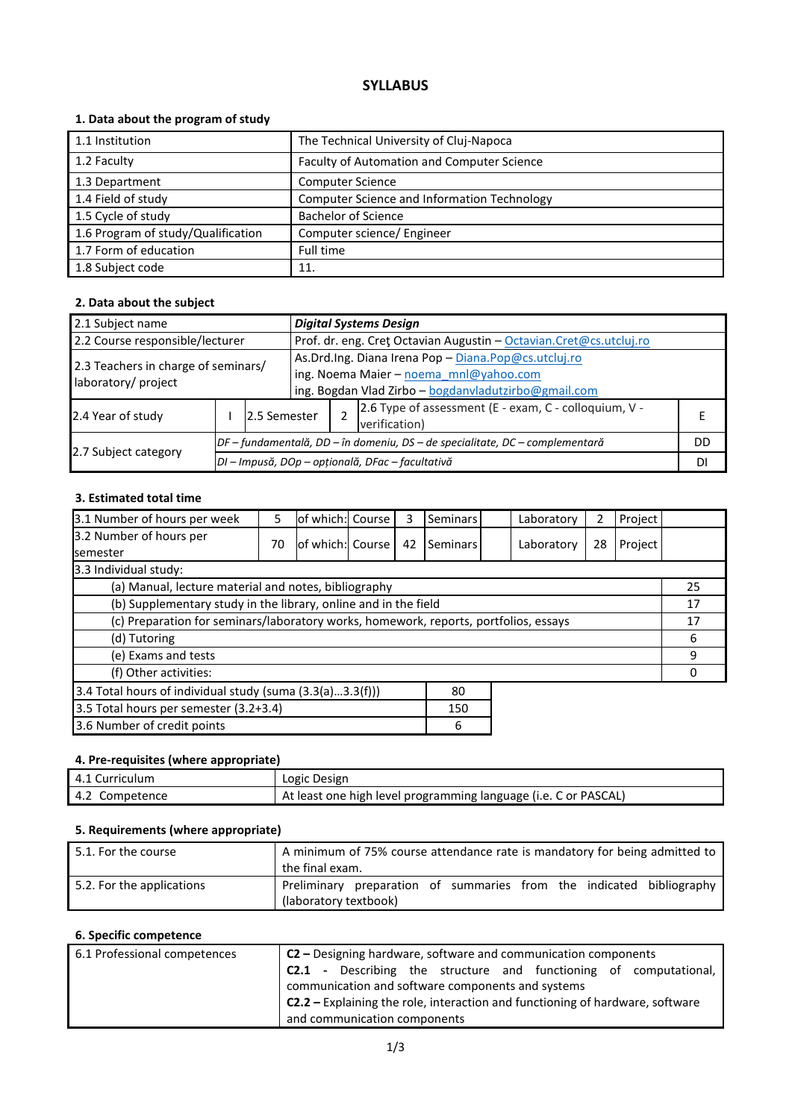# **SYLLABUS**

## **1. Data about the program of study**

| 1.1 Institution                    | The Technical University of Cluj-Napoca     |
|------------------------------------|---------------------------------------------|
| 1.2 Faculty                        | Faculty of Automation and Computer Science  |
| 1.3 Department                     | <b>Computer Science</b>                     |
| 1.4 Field of study                 | Computer Science and Information Technology |
| 1.5 Cycle of study                 | <b>Bachelor of Science</b>                  |
| 1.6 Program of study/Qualification | Computer science/ Engineer                  |
| 1.7 Form of education              | Full time                                   |
| 1.8 Subject code                   | 11.                                         |

### **2. Data about the subject**

| 2.1 Subject name                                           |  |                                                                              | <b>Digital Systems Design</b>                                       |                                                      |                                                       |  |  |  |
|------------------------------------------------------------|--|------------------------------------------------------------------------------|---------------------------------------------------------------------|------------------------------------------------------|-------------------------------------------------------|--|--|--|
| 2.2 Course responsible/lecturer                            |  |                                                                              | Prof. dr. eng. Cret Octavian Augustin - Octavian. Cret@cs.utcluj.ro |                                                      |                                                       |  |  |  |
| 2.3 Teachers in charge of seminars/<br>laboratory/ project |  |                                                                              |                                                                     | As.Drd.Ing. Diana Irena Pop - Diana.Pop@cs.utcluj.ro |                                                       |  |  |  |
|                                                            |  |                                                                              |                                                                     | ing. Noema Maier - noema mnl@yahoo.com               |                                                       |  |  |  |
|                                                            |  |                                                                              |                                                                     | ing. Bogdan Vlad Zirbo - bogdanvladutzirbo@gmail.com |                                                       |  |  |  |
|                                                            |  |                                                                              |                                                                     |                                                      | 2.6 Type of assessment (E - exam, C - colloquium, V - |  |  |  |
| 2.4 Year of study<br>2.5 Semester                          |  |                                                                              |                                                                     |                                                      | verification)                                         |  |  |  |
| 2.7 Subject category                                       |  | DF – fundamentală, DD – în domeniu, DS – de specialitate, DC – complementară |                                                                     |                                                      | DD                                                    |  |  |  |
|                                                            |  |                                                                              | DI - Impusă, DOp - opțională, DFac - facultativă                    |                                                      |                                                       |  |  |  |

### **3. Estimated total time**

| 3.1 Number of hours per week                                                         | 5  | lof which: Course |  | 3  | Seminars |  | Laboratory | 2  | Project |    |
|--------------------------------------------------------------------------------------|----|-------------------|--|----|----------|--|------------|----|---------|----|
| 3.2 Number of hours per                                                              | 70 | lof which: Course |  | 42 | Seminars |  | Laboratory | 28 | Project |    |
| semester                                                                             |    |                   |  |    |          |  |            |    |         |    |
| 3.3 Individual study:                                                                |    |                   |  |    |          |  |            |    |         |    |
| (a) Manual, lecture material and notes, bibliography                                 |    |                   |  |    |          |  |            |    |         | 25 |
| (b) Supplementary study in the library, online and in the field                      |    |                   |  |    |          |  | 17         |    |         |    |
| (c) Preparation for seminars/laboratory works, homework, reports, portfolios, essays |    |                   |  |    |          |  | 17         |    |         |    |
| (d) Tutoring                                                                         |    |                   |  |    |          |  |            | 6  |         |    |
| (e) Exams and tests                                                                  |    |                   |  |    |          |  |            | 9  |         |    |
| (f) Other activities:                                                                |    |                   |  |    |          |  | n          |    |         |    |
| 3.4 Total hours of individual study (suma (3.3(a)3.3(f)))<br>80                      |    |                   |  |    |          |  |            |    |         |    |
| 3.5 Total hours per semester (3.2+3.4)                                               |    |                   |  |    | 150      |  |            |    |         |    |
| 3.6 Number of credit points<br>6                                                     |    |                   |  |    |          |  |            |    |         |    |

#### **4. Pre-requisites (where appropriate)**

| 4.1 Curriculum | Logic Design                                                    |
|----------------|-----------------------------------------------------------------|
| 4.2 Competence | At least one high level programming language (i.e. C or PASCAL) |

### **5. Requirements (where appropriate)**

| 5.1. For the course       | A minimum of 75% course attendance rate is mandatory for being admitted to<br>the final exam. |
|---------------------------|-----------------------------------------------------------------------------------------------|
| 5.2. For the applications | Preliminary preparation of summaries from the indicated bibliography<br>(laboratory textbook) |

# **6. Specific competence**

| 6.1 Professional competences | C2 - Designing hardware, software and communication components                       |  |  |  |  |  |  |
|------------------------------|--------------------------------------------------------------------------------------|--|--|--|--|--|--|
|                              | <b>C2.1</b> - Describing the structure and functioning of computational,             |  |  |  |  |  |  |
|                              | communication and software components and systems                                    |  |  |  |  |  |  |
|                              | <b>C2.2</b> - Explaining the role, interaction and functioning of hardware, software |  |  |  |  |  |  |
|                              | and communication components                                                         |  |  |  |  |  |  |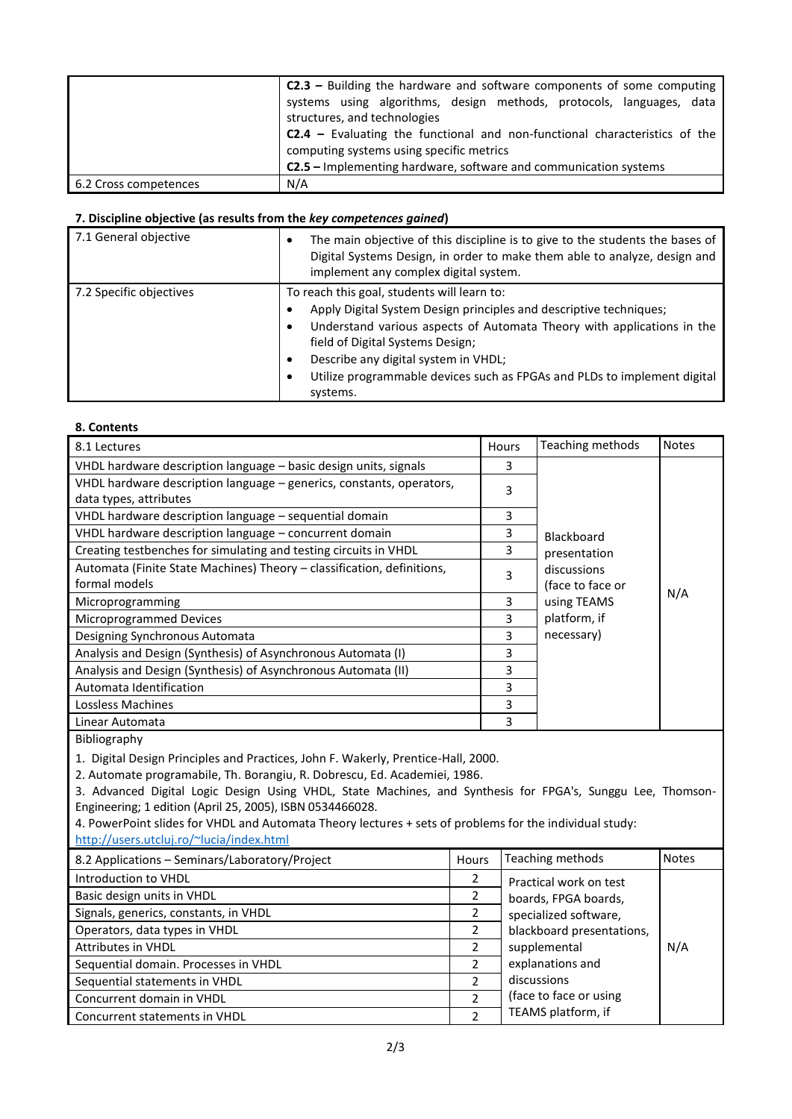|                       | $C2.3$ – Building the hardware and software components of some computing<br>systems using algorithms, design methods, protocols, languages, data |  |  |  |  |  |  |
|-----------------------|--------------------------------------------------------------------------------------------------------------------------------------------------|--|--|--|--|--|--|
|                       | structures, and technologies                                                                                                                     |  |  |  |  |  |  |
|                       | <b>C2.4</b> – Evaluating the functional and non-functional characteristics of the                                                                |  |  |  |  |  |  |
|                       | computing systems using specific metrics                                                                                                         |  |  |  |  |  |  |
|                       | C2.5 - Implementing hardware, software and communication systems                                                                                 |  |  |  |  |  |  |
| 6.2 Cross competences | N/A                                                                                                                                              |  |  |  |  |  |  |

#### **7. Discipline objective (as results from the** *key competences gained***)**

| 7.1 General objective   | The main objective of this discipline is to give to the students the bases of<br>Digital Systems Design, in order to make them able to analyze, design and<br>implement any complex digital system.                                                                                                                                                                  |  |  |  |
|-------------------------|----------------------------------------------------------------------------------------------------------------------------------------------------------------------------------------------------------------------------------------------------------------------------------------------------------------------------------------------------------------------|--|--|--|
| 7.2 Specific objectives | To reach this goal, students will learn to:<br>Apply Digital System Design principles and descriptive techniques;<br>Understand various aspects of Automata Theory with applications in the<br>field of Digital Systems Design;<br>Describe any digital system in VHDL;<br>٠<br>Utilize programmable devices such as FPGAs and PLDs to implement digital<br>systems. |  |  |  |

|  | 8. Contents |
|--|-------------|
|--|-------------|

| 8.1 Lectures                                                                                   | Hours | Teaching methods                | <b>Notes</b> |
|------------------------------------------------------------------------------------------------|-------|---------------------------------|--------------|
| VHDL hardware description language – basic design units, signals                               | 3     |                                 |              |
| VHDL hardware description language - generics, constants, operators,<br>data types, attributes | 3     |                                 |              |
| VHDL hardware description language - sequential domain                                         | 3     |                                 |              |
| VHDL hardware description language – concurrent domain                                         | 3     | Blackboard                      |              |
| Creating testbenches for simulating and testing circuits in VHDL                               | 3     | presentation                    |              |
| Automata (Finite State Machines) Theory - classification, definitions,<br>formal models        | 3     | discussions<br>(face to face or |              |
| Microprogramming                                                                               | 3     | using TEAMS                     | N/A          |
| Microprogrammed Devices                                                                        | 3     | platform, if                    |              |
| Designing Synchronous Automata                                                                 | 3     | necessary)                      |              |
| Analysis and Design (Synthesis) of Asynchronous Automata (I)                                   | 3     |                                 |              |
| Analysis and Design (Synthesis) of Asynchronous Automata (II)                                  | 3     |                                 |              |
| Automata Identification                                                                        | 3     |                                 |              |
| Lossless Machines                                                                              | 3     |                                 |              |
| Linear Automata                                                                                | 3     |                                 |              |

Bibliography

1. Digital Design Principles and Practices, John F. Wakerly, Prentice-Hall, 2000.

2. Automate programabile, Th. Borangiu, R. Dobrescu, Ed. Academiei, 1986.

3. Advanced Digital Logic Design Using VHDL, State Machines, and Synthesis for FPGA's, Sunggu Lee, Thomson-Engineering; 1 edition (April 25, 2005), ISBN 0534466028.

4. PowerPoint slides for VHDL and Automata Theory lectures + sets of problems for the individual study: <http://users.utcluj.ro/~lucia/index.html>

| 8.2 Applications - Seminars/Laboratory/Project | <b>Hours</b> | Teaching methods          | <b>Notes</b> |
|------------------------------------------------|--------------|---------------------------|--------------|
| Introduction to VHDL                           |              | Practical work on test    |              |
| Basic design units in VHDL                     |              | boards, FPGA boards,      |              |
| Signals, generics, constants, in VHDL          |              | specialized software,     |              |
| Operators, data types in VHDL                  |              | blackboard presentations, |              |
| <b>Attributes in VHDL</b>                      |              | supplemental              | N/A          |
| Sequential domain. Processes in VHDL           |              | explanations and          |              |
| Sequential statements in VHDL                  | 2            | discussions               |              |
| Concurrent domain in VHDL                      | 2            | (face to face or using    |              |
| Concurrent statements in VHDL                  |              | TEAMS platform, if        |              |